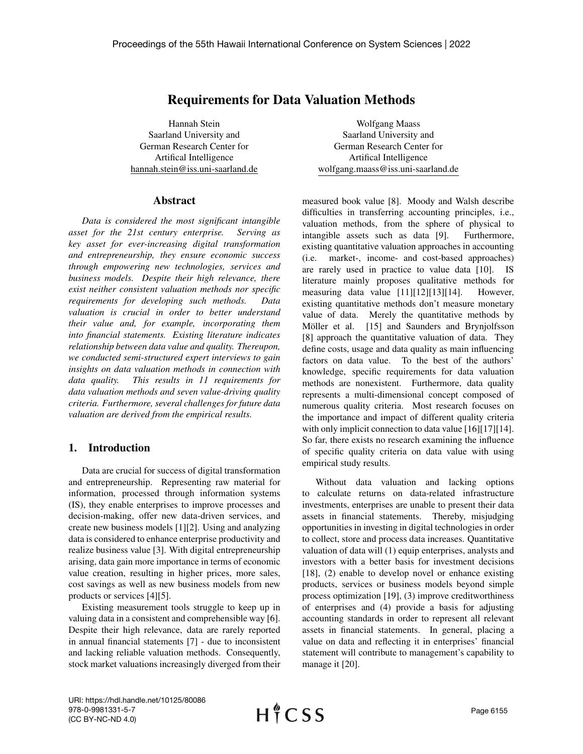# Requirements for Data Valuation Methods

Hannah Stein Saarland University and German Research Center for Artifical Intelligence hannah.stein@iss.uni-saarland.de

### Abstract

*Data is considered the most significant intangible asset for the 21st century enterprise. Serving as key asset for ever-increasing digital transformation and entrepreneurship, they ensure economic success through empowering new technologies, services and business models. Despite their high relevance, there exist neither consistent valuation methods nor specific requirements for developing such methods. Data valuation is crucial in order to better understand their value and, for example, incorporating them into financial statements. Existing literature indicates relationship between data value and quality. Thereupon, we conducted semi-structured expert interviews to gain insights on data valuation methods in connection with data quality. This results in 11 requirements for data valuation methods and seven value-driving quality criteria. Furthermore, several challenges for future data valuation are derived from the empirical results.*

### 1. Introduction

Data are crucial for success of digital transformation and entrepreneurship. Representing raw material for information, processed through information systems (IS), they enable enterprises to improve processes and decision-making, offer new data-driven services, and create new business models [1][2]. Using and analyzing data is considered to enhance enterprise productivity and realize business value [3]. With digital entrepreneurship arising, data gain more importance in terms of economic value creation, resulting in higher prices, more sales, cost savings as well as new business models from new products or services [4][5].

Existing measurement tools struggle to keep up in valuing data in a consistent and comprehensible way [6]. Despite their high relevance, data are rarely reported in annual financial statements [7] - due to inconsistent and lacking reliable valuation methods. Consequently, stock market valuations increasingly diverged from their

Wolfgang Maass Saarland University and German Research Center for Artifical Intelligence wolfgang.maass@iss.uni-saarland.de

measured book value [8]. Moody and Walsh describe difficulties in transferring accounting principles, i.e., valuation methods, from the sphere of physical to intangible assets such as data [9]. Furthermore, existing quantitative valuation approaches in accounting (i.e. market-, income- and cost-based approaches) are rarely used in practice to value data [10]. IS literature mainly proposes qualitative methods for measuring data value [11][12][13][14]. However, existing quantitative methods don't measure monetary value of data. Merely the quantitative methods by Möller et al. [15] and Saunders and Brynjolfsson [8] approach the quantitative valuation of data. They define costs, usage and data quality as main influencing factors on data value. To the best of the authors' knowledge, specific requirements for data valuation methods are nonexistent. Furthermore, data quality represents a multi-dimensional concept composed of numerous quality criteria. Most research focuses on the importance and impact of different quality criteria with only implicit connection to data value [16][17][14]. So far, there exists no research examining the influence of specific quality criteria on data value with using empirical study results.

Without data valuation and lacking options to calculate returns on data-related infrastructure investments, enterprises are unable to present their data assets in financial statements. Thereby, misjudging opportunities in investing in digital technologies in order to collect, store and process data increases. Quantitative valuation of data will (1) equip enterprises, analysts and investors with a better basis for investment decisions [18], (2) enable to develop novel or enhance existing products, services or business models beyond simple process optimization [19], (3) improve creditworthiness of enterprises and (4) provide a basis for adjusting accounting standards in order to represent all relevant assets in financial statements. In general, placing a value on data and reflecting it in enterprises' financial statement will contribute to management's capability to manage it [20].

URI: https://hdl.handle.net/10125/80086 978-0-9981331-5-7 (CC BY-NC-ND 4.0)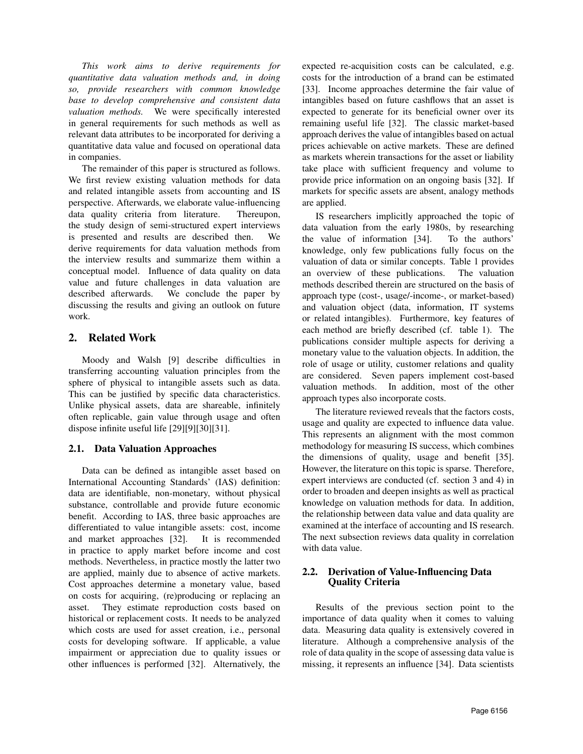*This work aims to derive requirements for quantitative data valuation methods and, in doing so, provide researchers with common knowledge base to develop comprehensive and consistent data valuation methods.* We were specifically interested in general requirements for such methods as well as relevant data attributes to be incorporated for deriving a quantitative data value and focused on operational data in companies.

The remainder of this paper is structured as follows. We first review existing valuation methods for data and related intangible assets from accounting and IS perspective. Afterwards, we elaborate value-influencing data quality criteria from literature. Thereupon, the study design of semi-structured expert interviews is presented and results are described then. We derive requirements for data valuation methods from the interview results and summarize them within a conceptual model. Influence of data quality on data value and future challenges in data valuation are described afterwards. We conclude the paper by discussing the results and giving an outlook on future work.

# 2. Related Work

Moody and Walsh [9] describe difficulties in transferring accounting valuation principles from the sphere of physical to intangible assets such as data. This can be justified by specific data characteristics. Unlike physical assets, data are shareable, infinitely often replicable, gain value through usage and often dispose infinite useful life [29][9][30][31].

# 2.1. Data Valuation Approaches

Data can be defined as intangible asset based on International Accounting Standards' (IAS) definition: data are identifiable, non-monetary, without physical substance, controllable and provide future economic benefit. According to IAS, three basic approaches are differentiated to value intangible assets: cost, income and market approaches [32]. It is recommended in practice to apply market before income and cost methods. Nevertheless, in practice mostly the latter two are applied, mainly due to absence of active markets. Cost approaches determine a monetary value, based on costs for acquiring, (re)producing or replacing an asset. They estimate reproduction costs based on historical or replacement costs. It needs to be analyzed which costs are used for asset creation, i.e., personal costs for developing software. If applicable, a value impairment or appreciation due to quality issues or other influences is performed [32]. Alternatively, the

expected re-acquisition costs can be calculated, e.g. costs for the introduction of a brand can be estimated [33]. Income approaches determine the fair value of intangibles based on future cashflows that an asset is expected to generate for its beneficial owner over its remaining useful life [32]. The classic market-based approach derives the value of intangibles based on actual prices achievable on active markets. These are defined as markets wherein transactions for the asset or liability take place with sufficient frequency and volume to provide price information on an ongoing basis [32]. If markets for specific assets are absent, analogy methods are applied.

IS researchers implicitly approached the topic of data valuation from the early 1980s, by researching the value of information [34]. To the authors' knowledge, only few publications fully focus on the valuation of data or similar concepts. Table 1 provides an overview of these publications. The valuation methods described therein are structured on the basis of approach type (cost-, usage/-income-, or market-based) and valuation object (data, information, IT systems or related intangibles). Furthermore, key features of each method are briefly described (cf. table 1). The publications consider multiple aspects for deriving a monetary value to the valuation objects. In addition, the role of usage or utility, customer relations and quality are considered. Seven papers implement cost-based valuation methods. In addition, most of the other approach types also incorporate costs.

The literature reviewed reveals that the factors costs, usage and quality are expected to influence data value. This represents an alignment with the most common methodology for measuring IS success, which combines the dimensions of quality, usage and benefit [35]. However, the literature on this topic is sparse. Therefore, expert interviews are conducted (cf. section 3 and 4) in order to broaden and deepen insights as well as practical knowledge on valuation methods for data. In addition, the relationship between data value and data quality are examined at the interface of accounting and IS research. The next subsection reviews data quality in correlation with data value.

## 2.2. Derivation of Value-Influencing Data Quality Criteria

Results of the previous section point to the importance of data quality when it comes to valuing data. Measuring data quality is extensively covered in literature. Although a comprehensive analysis of the role of data quality in the scope of assessing data value is missing, it represents an influence [34]. Data scientists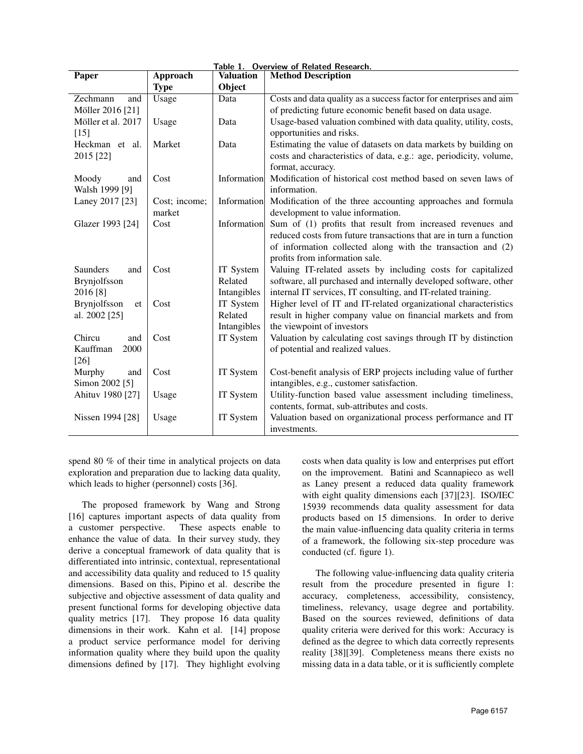| Table 1. Overview of Related Research. |               |                  |                                                                    |  |  |  |
|----------------------------------------|---------------|------------------|--------------------------------------------------------------------|--|--|--|
| Paper                                  | Approach      | <b>Valuation</b> | <b>Method Description</b>                                          |  |  |  |
|                                        | <b>Type</b>   | Object           |                                                                    |  |  |  |
| Zechmann<br>and                        | Usage         | Data             | Costs and data quality as a success factor for enterprises and aim |  |  |  |
| Möller 2016 [21]                       |               |                  | of predicting future economic benefit based on data usage.         |  |  |  |
| Möller et al. 2017                     | Usage         | Data             | Usage-based valuation combined with data quality, utility, costs,  |  |  |  |
| $[15]$                                 |               |                  | opportunities and risks.                                           |  |  |  |
| Heckman et al.                         | Market        | Data             | Estimating the value of datasets on data markets by building on    |  |  |  |
| 2015 [22]                              |               |                  | costs and characteristics of data, e.g.: age, periodicity, volume, |  |  |  |
|                                        |               |                  | format, accuracy.                                                  |  |  |  |
| Moody<br>and                           | Cost          | Information      | Modification of historical cost method based on seven laws of      |  |  |  |
| Walsh 1999 [9]                         |               |                  | information.                                                       |  |  |  |
| Laney 2017 [23]                        | Cost; income; | Information      | Modification of the three accounting approaches and formula        |  |  |  |
|                                        | market        |                  | development to value information.                                  |  |  |  |
| Glazer 1993 [24]                       | Cost          | Information      | Sum of (1) profits that result from increased revenues and         |  |  |  |
|                                        |               |                  | reduced costs from future transactions that are in turn a function |  |  |  |
|                                        |               |                  | of information collected along with the transaction and (2)        |  |  |  |
|                                        |               |                  | profits from information sale.                                     |  |  |  |
| <b>Saunders</b><br>and                 | Cost          | IT System        | Valuing IT-related assets by including costs for capitalized       |  |  |  |
| Brynjolfsson                           |               | Related          | software, all purchased and internally developed software, other   |  |  |  |
| 2016 [8]                               |               | Intangibles      | internal IT services, IT consulting, and IT-related training.      |  |  |  |
| Brynjolfsson<br>et                     | Cost          | IT System        | Higher level of IT and IT-related organizational characteristics   |  |  |  |
| al. 2002 [25]                          |               | Related          | result in higher company value on financial markets and from       |  |  |  |
|                                        |               | Intangibles      | the viewpoint of investors                                         |  |  |  |
| Chircu<br>and                          | Cost          | IT System        | Valuation by calculating cost savings through IT by distinction    |  |  |  |
| Kauffman<br>2000                       |               |                  | of potential and realized values.                                  |  |  |  |
| $[26]$                                 |               |                  |                                                                    |  |  |  |
| Murphy<br>and                          | Cost          | IT System        | Cost-benefit analysis of ERP projects including value of further   |  |  |  |
| Simon 2002 [5]                         |               |                  | intangibles, e.g., customer satisfaction.                          |  |  |  |
| Ahituv 1980 [27]                       | Usage         | IT System        | Utility-function based value assessment including timeliness,      |  |  |  |
|                                        |               |                  | contents, format, sub-attributes and costs.                        |  |  |  |
| Nissen 1994 [28]                       | Usage         | IT System        | Valuation based on organizational process performance and IT       |  |  |  |
|                                        |               |                  | investments.                                                       |  |  |  |

spend 80 % of their time in analytical projects on data exploration and preparation due to lacking data quality, which leads to higher (personnel) costs [36].

The proposed framework by Wang and Strong [16] captures important aspects of data quality from a customer perspective. These aspects enable to enhance the value of data. In their survey study, they derive a conceptual framework of data quality that is differentiated into intrinsic, contextual, representational and accessibility data quality and reduced to 15 quality dimensions. Based on this, Pipino et al. describe the subjective and objective assessment of data quality and present functional forms for developing objective data quality metrics [17]. They propose 16 data quality dimensions in their work. Kahn et al. [14] propose a product service performance model for deriving information quality where they build upon the quality dimensions defined by [17]. They highlight evolving

costs when data quality is low and enterprises put effort on the improvement. Batini and Scannapieco as well as Laney present a reduced data quality framework with eight quality dimensions each [37][23]. ISO/IEC 15939 recommends data quality assessment for data products based on 15 dimensions. In order to derive the main value-influencing data quality criteria in terms of a framework, the following six-step procedure was conducted (cf. figure 1).

The following value-influencing data quality criteria result from the procedure presented in figure 1: accuracy, completeness, accessibility, consistency, timeliness, relevancy, usage degree and portability. Based on the sources reviewed, definitions of data quality criteria were derived for this work: Accuracy is defined as the degree to which data correctly represents reality [38][39]. Completeness means there exists no missing data in a data table, or it is sufficiently complete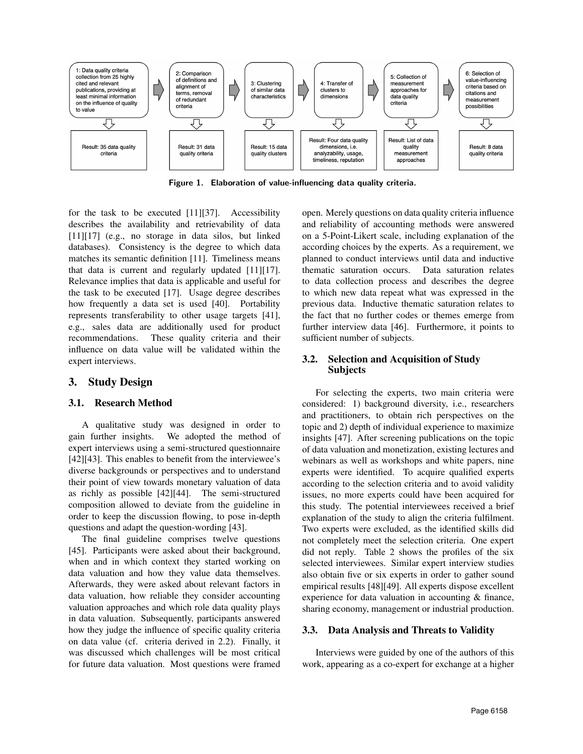

Figure 1. Elaboration of value-influencing data quality criteria.

for the task to be executed [11][37]. Accessibility describes the availability and retrievability of data [11][17] (e.g., no storage in data silos, but linked databases). Consistency is the degree to which data matches its semantic definition [11]. Timeliness means that data is current and regularly updated [11][17]. Relevance implies that data is applicable and useful for the task to be executed [17]. Usage degree describes how frequently a data set is used [40]. Portability represents transferability to other usage targets [41], e.g., sales data are additionally used for product recommendations. These quality criteria and their influence on data value will be validated within the expert interviews.

## 3. Study Design

### 3.1. Research Method

A qualitative study was designed in order to gain further insights. We adopted the method of expert interviews using a semi-structured questionnaire [42][43]. This enables to benefit from the interviewee's diverse backgrounds or perspectives and to understand their point of view towards monetary valuation of data as richly as possible [42][44]. The semi-structured composition allowed to deviate from the guideline in order to keep the discussion flowing, to pose in-depth questions and adapt the question-wording [43].

The final guideline comprises twelve questions [45]. Participants were asked about their background, when and in which context they started working on data valuation and how they value data themselves. Afterwards, they were asked about relevant factors in data valuation, how reliable they consider accounting valuation approaches and which role data quality plays in data valuation. Subsequently, participants answered how they judge the influence of specific quality criteria on data value (cf. criteria derived in 2.2). Finally, it was discussed which challenges will be most critical for future data valuation. Most questions were framed

open. Merely questions on data quality criteria influence and reliability of accounting methods were answered on a 5-Point-Likert scale, including explanation of the according choices by the experts. As a requirement, we planned to conduct interviews until data and inductive thematic saturation occurs. Data saturation relates to data collection process and describes the degree to which new data repeat what was expressed in the previous data. Inductive thematic saturation relates to the fact that no further codes or themes emerge from further interview data [46]. Furthermore, it points to sufficient number of subjects.

### 3.2. Selection and Acquisition of Study Subjects

For selecting the experts, two main criteria were considered: 1) background diversity, i.e., researchers and practitioners, to obtain rich perspectives on the topic and 2) depth of individual experience to maximize insights [47]. After screening publications on the topic of data valuation and monetization, existing lectures and webinars as well as workshops and white papers, nine experts were identified. To acquire qualified experts according to the selection criteria and to avoid validity issues, no more experts could have been acquired for this study. The potential interviewees received a brief explanation of the study to align the criteria fulfilment. Two experts were excluded, as the identified skills did not completely meet the selection criteria. One expert did not reply. Table 2 shows the profiles of the six selected interviewees. Similar expert interview studies also obtain five or six experts in order to gather sound empirical results [48][49]. All experts dispose excellent experience for data valuation in accounting & finance, sharing economy, management or industrial production.

#### 3.3. Data Analysis and Threats to Validity

Interviews were guided by one of the authors of this work, appearing as a co-expert for exchange at a higher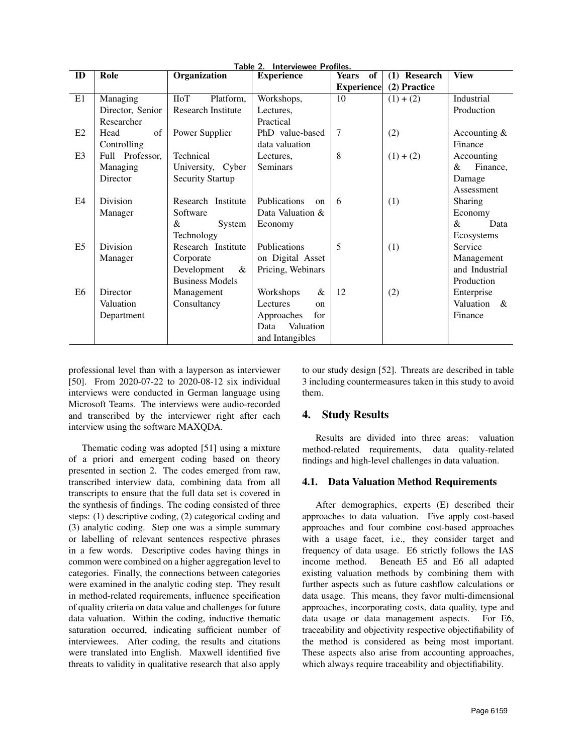|                | Table 2. Interviewee Profiles. |                           |                             |                   |              |                  |  |  |
|----------------|--------------------------------|---------------------------|-----------------------------|-------------------|--------------|------------------|--|--|
| ID             | Role                           | Organization              | <b>Experience</b>           | of<br>Years       | (1) Research | <b>View</b>      |  |  |
|                |                                |                           |                             | <b>Experience</b> | (2) Practice |                  |  |  |
| E1             | Managing                       | <b>IIoT</b><br>Platform,  | Workshops,                  | 10                | $(1) + (2)$  | Industrial       |  |  |
|                | Director, Senior               | <b>Research Institute</b> | Lectures,                   |                   |              | Production       |  |  |
|                | Researcher                     |                           | Practical                   |                   |              |                  |  |  |
| E2             | of<br>Head                     | Power Supplier            | PhD value-based             | 7                 | (2)          | Accounting $&$   |  |  |
|                | Controlling                    |                           | data valuation              |                   |              | Finance          |  |  |
| E <sub>3</sub> | Full Professor,                | Technical                 | Lectures.                   | 8                 | $(1) + (2)$  | Accounting       |  |  |
|                | Managing                       | University, Cyber         | <b>Seminars</b>             |                   |              | &<br>Finance,    |  |  |
|                | Director                       | <b>Security Startup</b>   |                             |                   |              | Damage           |  |  |
|                |                                |                           |                             |                   |              | Assessment       |  |  |
| E4             | Division                       | Research Institute        | Publications<br>$_{\rm on}$ | 6                 | (1)          | Sharing          |  |  |
|                | Manager                        | Software                  | Data Valuation &            |                   |              | Economy          |  |  |
|                |                                | &<br>System               | Economy                     |                   |              | &<br>Data        |  |  |
|                |                                | Technology                |                             |                   |              | Ecosystems       |  |  |
| E <sub>5</sub> | Division                       | Research Institute        | Publications                | 5                 | (1)          | Service          |  |  |
|                | Manager                        | Corporate                 | on Digital Asset            |                   |              | Management       |  |  |
|                |                                | Development<br>&          | Pricing, Webinars           |                   |              | and Industrial   |  |  |
|                |                                | <b>Business Models</b>    |                             |                   |              | Production       |  |  |
| E <sub>6</sub> | Director                       | Management                | Workshops<br>&              | 12                | (2)          | Enterprise       |  |  |
|                | Valuation                      | Consultancy               | Lectures<br>on              |                   |              | Valuation<br>- & |  |  |
|                | Department                     |                           | for<br>Approaches           |                   |              | Finance          |  |  |
|                |                                |                           | Valuation<br>Data           |                   |              |                  |  |  |
|                |                                |                           | and Intangibles             |                   |              |                  |  |  |

professional level than with a layperson as interviewer [50]. From 2020-07-22 to 2020-08-12 six individual interviews were conducted in German language using Microsoft Teams. The interviews were audio-recorded and transcribed by the interviewer right after each interview using the software MAXQDA.

Thematic coding was adopted [51] using a mixture of a priori and emergent coding based on theory presented in section 2. The codes emerged from raw, transcribed interview data, combining data from all transcripts to ensure that the full data set is covered in the synthesis of findings. The coding consisted of three steps: (1) descriptive coding, (2) categorical coding and (3) analytic coding. Step one was a simple summary or labelling of relevant sentences respective phrases in a few words. Descriptive codes having things in common were combined on a higher aggregation level to categories. Finally, the connections between categories were examined in the analytic coding step. They result in method-related requirements, influence specification of quality criteria on data value and challenges for future data valuation. Within the coding, inductive thematic saturation occurred, indicating sufficient number of interviewees. After coding, the results and citations were translated into English. Maxwell identified five threats to validity in qualitative research that also apply

to our study design [52]. Threats are described in table 3 including countermeasures taken in this study to avoid them.

# 4. Study Results

Results are divided into three areas: valuation method-related requirements, data quality-related findings and high-level challenges in data valuation.

# 4.1. Data Valuation Method Requirements

After demographics, experts (E) described their approaches to data valuation. Five apply cost-based approaches and four combine cost-based approaches with a usage facet, i.e., they consider target and frequency of data usage. E6 strictly follows the IAS income method. Beneath E5 and E6 all adapted existing valuation methods by combining them with further aspects such as future cashflow calculations or data usage. This means, they favor multi-dimensional approaches, incorporating costs, data quality, type and data usage or data management aspects. For E6, traceability and objectivity respective objectifiability of the method is considered as being most important. These aspects also arise from accounting approaches, which always require traceability and objectifiability.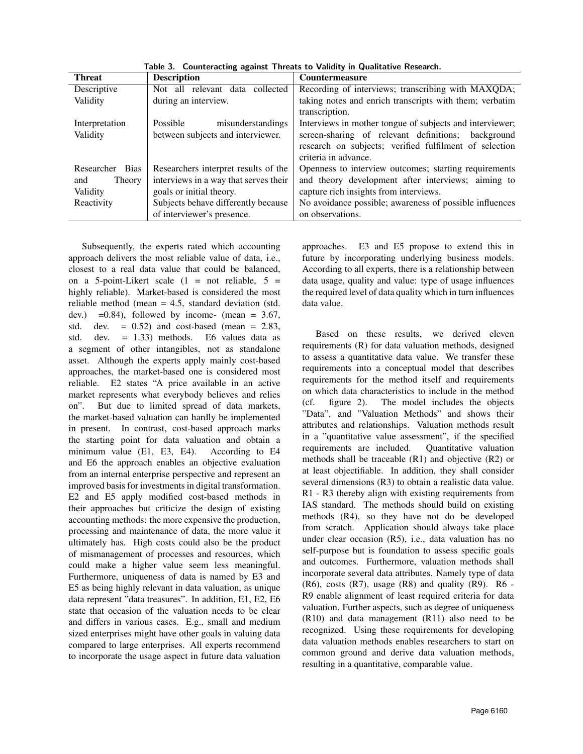| <b>Threat</b>             | <b>Description</b>                    | <b>Countermeasure</b>                                    |  |  |
|---------------------------|---------------------------------------|----------------------------------------------------------|--|--|
| Descriptive               | Not all relevant data<br>collected    | Recording of interviews; transcribing with MAXQDA;       |  |  |
| Validity                  | during an interview.                  | taking notes and enrich transcripts with them; verbatim  |  |  |
|                           |                                       | transcription.                                           |  |  |
| Interpretation            | Possible<br>misunderstandings         | Interviews in mother tongue of subjects and interviewer; |  |  |
| Validity                  | between subjects and interviewer.     | screen-sharing of relevant definitions; background       |  |  |
|                           |                                       | research on subjects; verified fulfilment of selection   |  |  |
|                           |                                       | criteria in advance.                                     |  |  |
| Researcher<br><b>Bias</b> | Researchers interpret results of the  | Openness to interview outcomes; starting requirements    |  |  |
| Theory<br>and             | interviews in a way that serves their | and theory development after interviews; aiming to       |  |  |
| Validity                  | goals or initial theory.              | capture rich insights from interviews.                   |  |  |
| Reactivity                | Subjects behave differently because   | No avoidance possible; awareness of possible influences  |  |  |
|                           | of interviewer's presence.            | on observations.                                         |  |  |

Table 3. Counteracting against Threats to Validity in Qualitative Research.

Subsequently, the experts rated which accounting approach delivers the most reliable value of data, i.e., closest to a real data value that could be balanced, on a 5-point-Likert scale  $(1 = not$  reliable,  $5 =$ highly reliable). Market-based is considered the most reliable method (mean = 4.5, standard deviation (std. dev.) =0.84), followed by income- (mean =  $3.67$ , std. dev.  $= 0.52$  and cost-based (mean  $= 2.83$ , std. dev. = 1.33) methods. E6 values data as a segment of other intangibles, not as standalone asset. Although the experts apply mainly cost-based approaches, the market-based one is considered most reliable. E2 states "A price available in an active market represents what everybody believes and relies on". But due to limited spread of data markets, the market-based valuation can hardly be implemented in present. In contrast, cost-based approach marks the starting point for data valuation and obtain a minimum value (E1, E3, E4). According to E4 and E6 the approach enables an objective evaluation from an internal enterprise perspective and represent an improved basis for investments in digital transformation. E2 and E5 apply modified cost-based methods in their approaches but criticize the design of existing accounting methods: the more expensive the production, processing and maintenance of data, the more value it ultimately has. High costs could also be the product of mismanagement of processes and resources, which could make a higher value seem less meaningful. Furthermore, uniqueness of data is named by E3 and E5 as being highly relevant in data valuation, as unique data represent "data treasures". In addition, E1, E2, E6 state that occasion of the valuation needs to be clear and differs in various cases. E.g., small and medium sized enterprises might have other goals in valuing data compared to large enterprises. All experts recommend to incorporate the usage aspect in future data valuation approaches. E3 and E5 propose to extend this in future by incorporating underlying business models. According to all experts, there is a relationship between data usage, quality and value: type of usage influences the required level of data quality which in turn influences data value.

Based on these results, we derived eleven requirements (R) for data valuation methods, designed to assess a quantitative data value. We transfer these requirements into a conceptual model that describes requirements for the method itself and requirements on which data characteristics to include in the method (cf. figure 2). The model includes the objects "Data", and "Valuation Methods" and shows their attributes and relationships. Valuation methods result in a "quantitative value assessment", if the specified requirements are included. Quantitative valuation methods shall be traceable (R1) and objective (R2) or at least objectifiable. In addition, they shall consider several dimensions (R3) to obtain a realistic data value. R1 - R3 thereby align with existing requirements from IAS standard. The methods should build on existing methods (R4), so they have not do be developed from scratch. Application should always take place under clear occasion (R5), i.e., data valuation has no self-purpose but is foundation to assess specific goals and outcomes. Furthermore, valuation methods shall incorporate several data attributes. Namely type of data  $(R6)$ , costs  $(R7)$ , usage  $(R8)$  and quality  $(R9)$ .  $R6$  -R9 enable alignment of least required criteria for data valuation. Further aspects, such as degree of uniqueness (R10) and data management (R11) also need to be recognized. Using these requirements for developing data valuation methods enables researchers to start on common ground and derive data valuation methods, resulting in a quantitative, comparable value.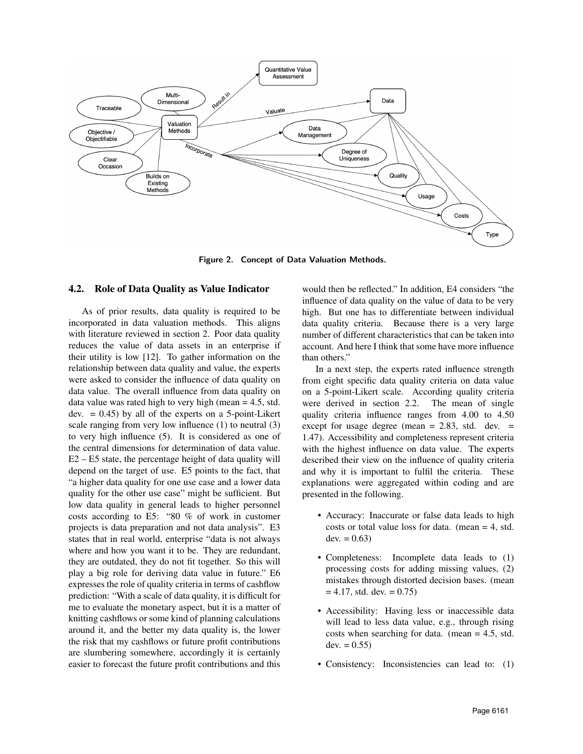

Figure 2. Concept of Data Valuation Methods.

### 4.2. Role of Data Quality as Value Indicator

As of prior results, data quality is required to be incorporated in data valuation methods. This aligns with literature reviewed in section 2. Poor data quality reduces the value of data assets in an enterprise if their utility is low [12]. To gather information on the relationship between data quality and value, the experts were asked to consider the influence of data quality on data value. The overall influence from data quality on data value was rated high to very high (mean = 4.5, std. dev.  $= 0.45$ ) by all of the experts on a 5-point-Likert scale ranging from very low influence (1) to neutral (3) to very high influence (5). It is considered as one of the central dimensions for determination of data value. E2 – E5 state, the percentage height of data quality will depend on the target of use. E5 points to the fact, that "a higher data quality for one use case and a lower data quality for the other use case" might be sufficient. But low data quality in general leads to higher personnel costs according to E5: "80 % of work in customer projects is data preparation and not data analysis". E3 states that in real world, enterprise "data is not always where and how you want it to be. They are redundant, they are outdated, they do not fit together. So this will play a big role for deriving data value in future." E6 expresses the role of quality criteria in terms of cashflow prediction: "With a scale of data quality, it is difficult for me to evaluate the monetary aspect, but it is a matter of knitting cashflows or some kind of planning calculations around it, and the better my data quality is, the lower the risk that my cashflows or future profit contributions are slumbering somewhere, accordingly it is certainly easier to forecast the future profit contributions and this

would then be reflected." In addition, E4 considers "the influence of data quality on the value of data to be very high. But one has to differentiate between individual data quality criteria. Because there is a very large number of different characteristics that can be taken into account. And here I think that some have more influence than others."

In a next step, the experts rated influence strength from eight specific data quality criteria on data value on a 5-point-Likert scale. According quality criteria were derived in section 2.2. The mean of single quality criteria influence ranges from 4.00 to 4.50 except for usage degree (mean  $= 2.83$ , std. dev.  $=$ 1.47). Accessibility and completeness represent criteria with the highest influence on data value. The experts described their view on the influence of quality criteria and why it is important to fulfil the criteria. These explanations were aggregated within coding and are presented in the following.

- Accuracy: Inaccurate or false data leads to high costs or total value loss for data. (mean  $=$  4, std.  $dev. = 0.63$
- Completeness: Incomplete data leads to (1) processing costs for adding missing values, (2) mistakes through distorted decision bases. (mean  $= 4.17$ , std. dev.  $= 0.75$ )
- Accessibility: Having less or inaccessible data will lead to less data value, e.g., through rising costs when searching for data. (mean = 4.5, std. dev.  $= 0.55$ )
- Consistency: Inconsistencies can lead to: (1)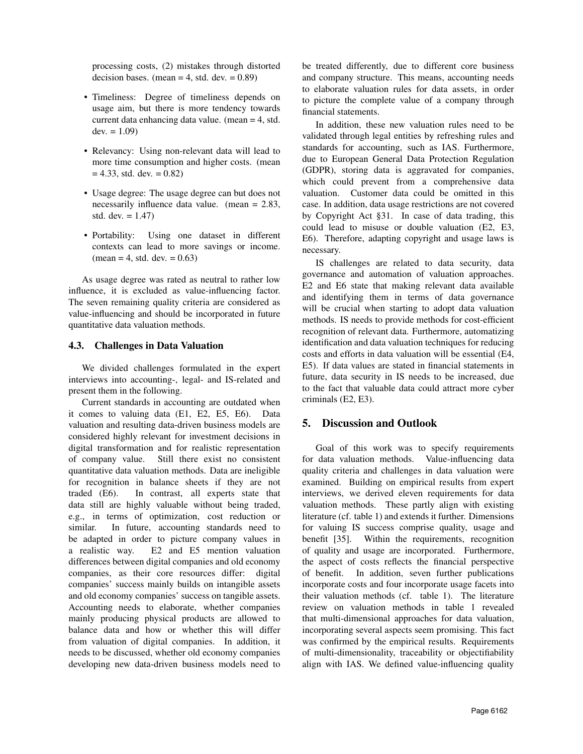processing costs, (2) mistakes through distorted decision bases. (mean  $=$  4, std. dev.  $=$  0.89)

- Timeliness: Degree of timeliness depends on usage aim, but there is more tendency towards current data enhancing data value. (mean = 4, std.  $dev. = 1.09$
- Relevancy: Using non-relevant data will lead to more time consumption and higher costs. (mean  $= 4.33$ , std. dev.  $= 0.82$ )
- Usage degree: The usage degree can but does not necessarily influence data value. (mean = 2.83, std. dev.  $= 1.47$ )
- Portability: Using one dataset in different contexts can lead to more savings or income.  $mean = 4$ , std. dev.  $= 0.63$ )

As usage degree was rated as neutral to rather low influence, it is excluded as value-influencing factor. The seven remaining quality criteria are considered as value-influencing and should be incorporated in future quantitative data valuation methods.

### 4.3. Challenges in Data Valuation

We divided challenges formulated in the expert interviews into accounting-, legal- and IS-related and present them in the following.

Current standards in accounting are outdated when it comes to valuing data (E1, E2, E5, E6). Data valuation and resulting data-driven business models are considered highly relevant for investment decisions in digital transformation and for realistic representation of company value. Still there exist no consistent quantitative data valuation methods. Data are ineligible for recognition in balance sheets if they are not traded (E6). In contrast, all experts state that data still are highly valuable without being traded, e.g., in terms of optimization, cost reduction or similar. In future, accounting standards need to be adapted in order to picture company values in a realistic way. E2 and E5 mention valuation differences between digital companies and old economy companies, as their core resources differ: digital companies' success mainly builds on intangible assets and old economy companies' success on tangible assets. Accounting needs to elaborate, whether companies mainly producing physical products are allowed to balance data and how or whether this will differ from valuation of digital companies. In addition, it needs to be discussed, whether old economy companies developing new data-driven business models need to be treated differently, due to different core business and company structure. This means, accounting needs to elaborate valuation rules for data assets, in order to picture the complete value of a company through financial statements.

In addition, these new valuation rules need to be validated through legal entities by refreshing rules and standards for accounting, such as IAS. Furthermore, due to European General Data Protection Regulation (GDPR), storing data is aggravated for companies, which could prevent from a comprehensive data valuation. Customer data could be omitted in this case. In addition, data usage restrictions are not covered by Copyright Act §31. In case of data trading, this could lead to misuse or double valuation (E2, E3, E6). Therefore, adapting copyright and usage laws is necessary.

IS challenges are related to data security, data governance and automation of valuation approaches. E2 and E6 state that making relevant data available and identifying them in terms of data governance will be crucial when starting to adopt data valuation methods. IS needs to provide methods for cost-efficient recognition of relevant data. Furthermore, automatizing identification and data valuation techniques for reducing costs and efforts in data valuation will be essential (E4, E5). If data values are stated in financial statements in future, data security in IS needs to be increased, due to the fact that valuable data could attract more cyber criminals (E2, E3).

# 5. Discussion and Outlook

Goal of this work was to specify requirements for data valuation methods. Value-influencing data quality criteria and challenges in data valuation were examined. Building on empirical results from expert interviews, we derived eleven requirements for data valuation methods. These partly align with existing literature (cf. table 1) and extends it further. Dimensions for valuing IS success comprise quality, usage and benefit [35]. Within the requirements, recognition of quality and usage are incorporated. Furthermore, the aspect of costs reflects the financial perspective of benefit. In addition, seven further publications incorporate costs and four incorporate usage facets into their valuation methods (cf. table 1). The literature review on valuation methods in table 1 revealed that multi-dimensional approaches for data valuation, incorporating several aspects seem promising. This fact was confirmed by the empirical results. Requirements of multi-dimensionality, traceability or objectifiability align with IAS. We defined value-influencing quality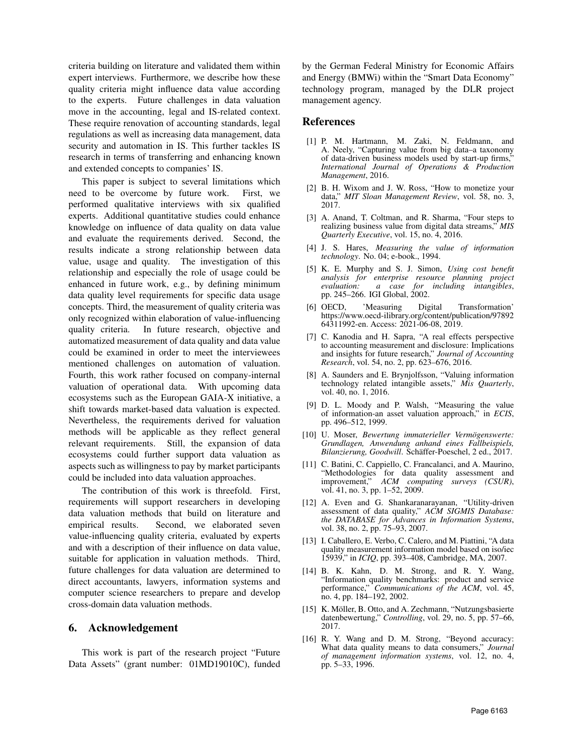criteria building on literature and validated them within expert interviews. Furthermore, we describe how these quality criteria might influence data value according to the experts. Future challenges in data valuation move in the accounting, legal and IS-related context. These require renovation of accounting standards, legal regulations as well as increasing data management, data security and automation in IS. This further tackles IS research in terms of transferring and enhancing known and extended concepts to companies' IS.

This paper is subject to several limitations which need to be overcome by future work. First, we performed qualitative interviews with six qualified experts. Additional quantitative studies could enhance knowledge on influence of data quality on data value and evaluate the requirements derived. Second, the results indicate a strong relationship between data value, usage and quality. The investigation of this relationship and especially the role of usage could be enhanced in future work, e.g., by defining minimum data quality level requirements for specific data usage concepts. Third, the measurement of quality criteria was only recognized within elaboration of value-influencing quality criteria. In future research, objective and automatized measurement of data quality and data value could be examined in order to meet the interviewees mentioned challenges on automation of valuation. Fourth, this work rather focused on company-internal valuation of operational data. With upcoming data ecosystems such as the European GAIA-X initiative, a shift towards market-based data valuation is expected. Nevertheless, the requirements derived for valuation methods will be applicable as they reflect general relevant requirements. Still, the expansion of data ecosystems could further support data valuation as aspects such as willingness to pay by market participants could be included into data valuation approaches.

The contribution of this work is threefold. First, requirements will support researchers in developing data valuation methods that build on literature and empirical results. Second, we elaborated seven value-influencing quality criteria, evaluated by experts and with a description of their influence on data value, suitable for application in valuation methods. Third, future challenges for data valuation are determined to direct accountants, lawyers, information systems and computer science researchers to prepare and develop cross-domain data valuation methods.

### 6. Acknowledgement

This work is part of the research project "Future Data Assets" (grant number: 01MD19010C), funded by the German Federal Ministry for Economic Affairs and Energy (BMWi) within the "Smart Data Economy" technology program, managed by the DLR project management agency.

#### References

- [1] P. M. Hartmann, M. Zaki, N. Feldmann, and A. Neely, "Capturing value from big data–a taxonomy of data-driven business models used by start-up firms," *International Journal of Operations & Production Management*, 2016.
- [2] B. H. Wixom and J. W. Ross, "How to monetize your data," *MIT Sloan Management Review*, vol. 58, no. 3, 2017.
- [3] A. Anand, T. Coltman, and R. Sharma, "Four steps to realizing business value from digital data streams," *MIS Quarterly Executive*, vol. 15, no. 4, 2016.
- [4] J. S. Hares, *Measuring the value of information technology*. No. 04; e-book., 1994.
- [5] K. E. Murphy and S. J. Simon, *Using cost benefit analysis for enterprise resource planning project* for *including intangibles*, pp. 245–266. IGI Global, 2002.
- [6] OECD, 'Measuring Digital Transformation' https://www.oecd-ilibrary.org/content/publication/97892 64311992-en. Access: 2021-06-08, 2019.
- [7] C. Kanodia and H. Sapra, "A real effects perspective to accounting measurement and disclosure: Implications and insights for future research," *Journal of Accounting Research*, vol. 54, no. 2, pp. 623–676, 2016.
- [8] A. Saunders and E. Brynjolfsson, "Valuing information technology related intangible assets," *Mis Quarterly*, vol. 40, no. 1, 2016.
- [9] D. L. Moody and P. Walsh, "Measuring the value of information-an asset valuation approach," in *ECIS*, pp. 496–512, 1999.
- [10] U. Moser, *Bewertung immaterieller Vermogenswerte: ¨ Grundlagen, Anwendung anhand eines Fallbeispiels, Bilanzierung, Goodwill*. Schaffer-Poeschel, 2 ed., 2017. ¨
- [11] C. Batini, C. Cappiello, C. Francalanci, and A. Maurino, "Methodologies for data quality assessment and improvement," *ACM computing surveys (CSUR)*, vol. 41, no. 3, pp. 1–52, 2009.
- [12] A. Even and G. Shankaranarayanan, "Utility-driven assessment of data quality," *ACM SIGMIS Database: the DATABASE for Advances in Information Systems*, vol. 38, no. 2, pp. 75–93, 2007.
- [13] I. Caballero, E. Verbo, C. Calero, and M. Piattini, "A data quality measurement information model based on iso/iec 15939," in *ICIQ*, pp. 393–408, Cambridge, MA, 2007.
- [14] B. K. Kahn, D. M. Strong, and R. Y. Wang, "Information quality benchmarks: product and service performance," *Communications of the ACM*, vol. 45, no. 4, pp. 184–192, 2002.
- [15] K. Möller, B. Otto, and A. Zechmann, "Nutzungsbasierte datenbewertung," *Controlling*, vol. 29, no. 5, pp. 57–66, 2017.
- [16] R. Y. Wang and D. M. Strong, "Beyond accuracy: What data quality means to data consumers," *Journal of management information systems*, vol. 12, no. 4, pp. 5–33, 1996.